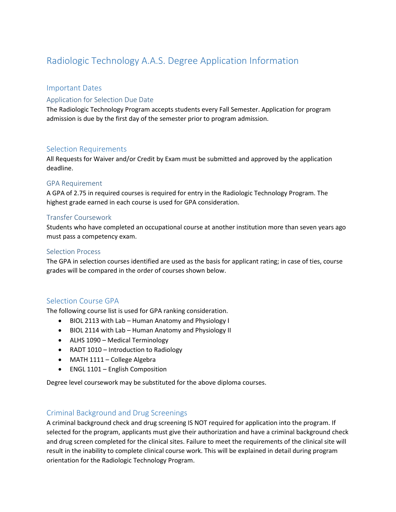# Radiologic Technology A.A.S. Degree Application Information

#### Important Dates

#### Application for Selection Due Date

The Radiologic Technology Program accepts students every Fall Semester. Application for program admission is due by the first day of the semester prior to program admission.

#### Selection Requirements

All Requests for Waiver and/or Credit by Exam must be submitted and approved by the application deadline.

#### GPA Requirement

A GPA of 2.75 in required courses is required for entry in the Radiologic Technology Program. The highest grade earned in each course is used for GPA consideration.

#### Transfer Coursework

Students who have completed an occupational course at another institution more than seven years ago must pass a competency exam.

#### Selection Process

The GPA in selection courses identified are used as the basis for applicant rating; in case of ties, course grades will be compared in the order of courses shown below.

#### Selection Course GPA

The following course list is used for GPA ranking consideration.

- BIOL 2113 with Lab Human Anatomy and Physiology I
- BIOL 2114 with Lab Human Anatomy and Physiology II
- ALHS 1090 Medical Terminology
- RADT 1010 Introduction to Radiology
- MATH 1111 College Algebra
- ENGL 1101 English Composition

Degree level coursework may be substituted for the above diploma courses.

### Criminal Background and Drug Screenings

A criminal background check and drug screening IS NOT required for application into the program. If selected for the program, applicants must give their authorization and have a criminal background check and drug screen completed for the clinical sites. Failure to meet the requirements of the clinical site will result in the inability to complete clinical course work. This will be explained in detail during program orientation for the Radiologic Technology Program.